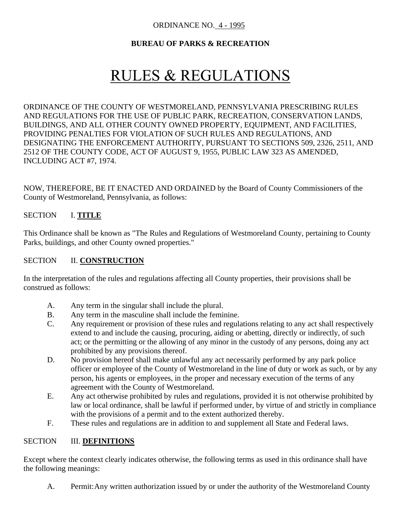#### ORDINANCE NO. 4 - 1995

# **BUREAU OF PARKS & RECREATION**

# **RULES & REGULATIONS**

ORDINANCE OF THE COUNTY OF WESTMORELAND, PENNSYLVANIA PRESCRIBING RULES AND REGULATIONS FOR THE USE OF PUBLIC PARK, RECREATION, CONSERVATION LANDS, BUILDINGS, AND ALL OTHER COUNTY OWNED PROPERTY, EQUIPMENT, AND FACILITIES, PROVIDING PENALTIES FOR VIOLATION OF SUCH RULES AND REGULATIONS, AND DESIGNATING THE ENFORCEMENT AUTHORITY, PURSUANT TO SECTIONS 509, 2326, 2511, AND 2512 OF THE COUNTY CODE, ACT OF AUGUST 9, 1955, PUBLIC LAW 323 AS AMENDED, INCLUDING ACT #7, 1974.

NOW, THEREFORE, BE IT ENACTED AND ORDAINED by the Board of County Commissioners of the County of Westmoreland, Pennsylvania, as follows:

#### SECTION I. **TITLE**

This Ordinance shall be known as "The Rules and Regulations of Westmoreland County, pertaining to County Parks, buildings, and other County owned properties."

#### SECTION **II. CONSTRUCTION**

In the interpretation of the rules and regulations affecting all County properties, their provisions shall be construed as follows:

- A. Any term in the singular shall include the plural.
- B. Any term in the masculine shall include the feminine.
- C. Any requirement or provision of these rules and regulations relating to any act shall respectively extend to and include the causing, procuring, aiding or abetting, directly or indirectly, of such act; or the permitting or the allowing of any minor in the custody of any persons, doing any act prohibited by any provisions thereof.
- D. No provision hereof shall make unlawful any act necessarily performed by any park police officer or employee of the County of Westmoreland in the line of duty or work as such, or by any person, his agents or employees, in the proper and necessary execution of the terms of any agreement with the County of Westmoreland.
- E. Any act otherwise prohibited by rules and regulations, provided it is not otherwise prohibited by law or local ordinance, shall be lawful if performed under, by virtue of and strictly in compliance with the provisions of a permit and to the extent authorized thereby.
- F. These rules and regulations are in addition to and supplement all State and Federal laws.

#### SECTION **III. DEFINITIONS**

Except where the context clearly indicates otherwise, the following terms as used in this ordinance shall have the following meanings:

A. Permit:Any written authorization issued by or under the authority of the Westmoreland County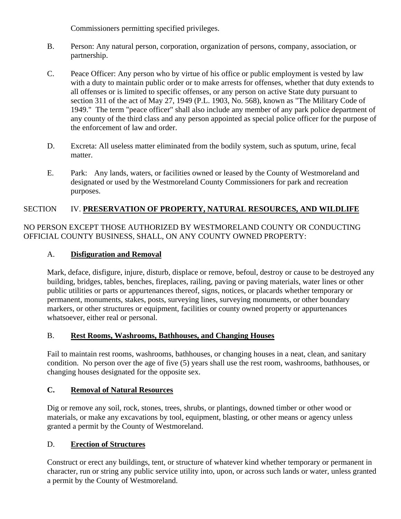Commissioners permitting specified privileges.

- B. Person: Any natural person, corporation, organization of persons, company, association, or partnership.
- C. Peace Officer: Any person who by virtue of his office or public employment is vested by law with a duty to maintain public order or to make arrests for offenses, whether that duty extends to all offenses or is limited to specific offenses, or any person on active State duty pursuant to section 311 of the act of May 27, 1949 (P.L. 1903, No. 568), known as "The Military Code of 1949." The term "peace officer" shall also include any member of any park police department of any county of the third class and any person appointed as special police officer for the purpose of the enforcement of law and order.
- D. Excreta: All useless matter eliminated from the bodily system, such as sputum, urine, fecal matter.
- E. Park: Any lands, waters, or facilities owned or leased by the County of Westmoreland and designated or used by the Westmoreland County Commissioners for park and recreation purposes.

# SECTION IV. **PRESERVATION OF PROPERTY, NATURAL RESOURCES, AND WILDLIFE**

NO PERSON EXCEPT THOSE AUTHORIZED BY WESTMORELAND COUNTY OR CONDUCTING OFFICIAL COUNTY BUSINESS, SHALL, ON ANY COUNTY OWNED PROPERTY:

# A. **Disfiguration and Removal**

Mark, deface, disfigure, injure, disturb, displace or remove, befoul, destroy or cause to be destroyed any building, bridges, tables, benches, fireplaces, railing, paving or paving materials, water lines or other public utilities or parts or appurtenances thereof, signs, notices, or placards whether temporary or permanent, monuments, stakes, posts, surveying lines, surveying monuments, or other boundary markers, or other structures or equipment, facilities or county owned property or appurtenances whatsoever, either real or personal.

## B. **Rest Rooms, Washrooms, Bathhouses, and Changing Houses**

Fail to maintain rest rooms, washrooms, bathhouses, or changing houses in a neat, clean, and sanitary condition. No person over the age of five (5) years shall use the rest room, washrooms, bathhouses, or changing houses designated for the opposite sex.

## **C. Removal of Natural Resources**

Dig or remove any soil, rock, stones, trees, shrubs, or plantings, downed timber or other wood or materials, or make any excavations by tool, equipment, blasting, or other means or agency unless granted a permit by the County of Westmoreland.

## D. **Erection of Structures**

Construct or erect any buildings, tent, or structure of whatever kind whether temporary or permanent in character, run or string any public service utility into, upon, or across such lands or water, unless granted a permit by the County of Westmoreland.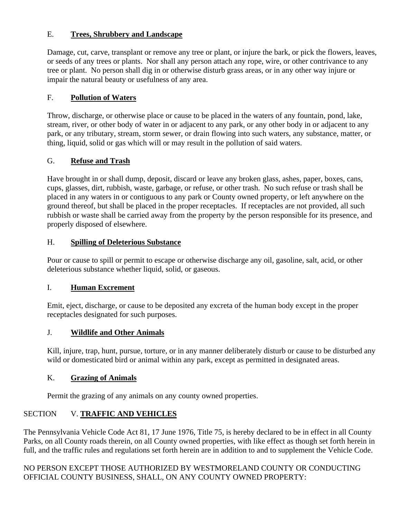# E. **Trees, Shrubbery and Landscape**

Damage, cut, carve, transplant or remove any tree or plant, or injure the bark, or pick the flowers, leaves, or seeds of any trees or plants. Nor shall any person attach any rope, wire, or other contrivance to any tree or plant. No person shall dig in or otherwise disturb grass areas, or in any other way injure or impair the natural beauty or usefulness of any area.

# F. **Pollution of Waters**

Throw, discharge, or otherwise place or cause to be placed in the waters of any fountain, pond, lake, stream, river, or other body of water in or adjacent to any park, or any other body in or adjacent to any park, or any tributary, stream, storm sewer, or drain flowing into such waters, any substance, matter, or thing, liquid, solid or gas which will or may result in the pollution of said waters.

# G. **Refuse and Trash**

Have brought in or shall dump, deposit, discard or leave any broken glass, ashes, paper, boxes, cans, cups, glasses, dirt, rubbish, waste, garbage, or refuse, or other trash. No such refuse or trash shall be placed in any waters in or contiguous to any park or County owned property, or left anywhere on the ground thereof, but shall be placed in the proper receptacles. If receptacles are not provided, all such rubbish or waste shall be carried away from the property by the person responsible for its presence, and properly disposed of elsewhere.

## H. **Spilling of Deleterious Substance**

Pour or cause to spill or permit to escape or otherwise discharge any oil, gasoline, salt, acid, or other deleterious substance whether liquid, solid, or gaseous.

## I. **Human Excrement**

Emit, eject, discharge, or cause to be deposited any excreta of the human body except in the proper receptacles designated for such purposes.

## J. **Wildlife and Other Animals**

Kill, injure, trap, hunt, pursue, torture, or in any manner deliberately disturb or cause to be disturbed any wild or domesticated bird or animal within any park, except as permitted in designated areas.

## K. **Grazing of Animals**

Permit the grazing of any animals on any county owned properties.

# SECTION V. **TRAFFIC AND VEHICLES**

The Pennsylvania Vehicle Code Act 81, 17 June 1976, Title 75, is hereby declared to be in effect in all County Parks, on all County roads therein, on all County owned properties, with like effect as though set forth herein in full, and the traffic rules and regulations set forth herein are in addition to and to supplement the Vehicle Code.

NO PERSON EXCEPT THOSE AUTHORIZED BY WESTMORELAND COUNTY OR CONDUCTING OFFICIAL COUNTY BUSINESS, SHALL, ON ANY COUNTY OWNED PROPERTY: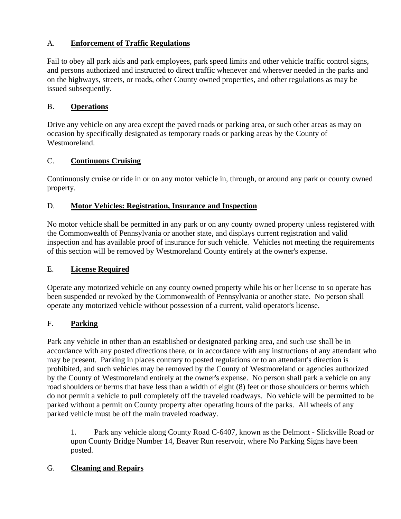# A. **Enforcement of Traffic Regulations**

Fail to obey all park aids and park employees, park speed limits and other vehicle traffic control signs, and persons authorized and instructed to direct traffic whenever and wherever needed in the parks and on the highways, streets, or roads, other County owned properties, and other regulations as may be issued subsequently.

# B. **Operations**

Drive any vehicle on any area except the paved roads or parking area, or such other areas as may on occasion by specifically designated as temporary roads or parking areas by the County of Westmoreland.

# C. **Continuous Cruising**

Continuously cruise or ride in or on any motor vehicle in, through, or around any park or county owned property.

# D. **Motor Vehicles: Registration, Insurance and Inspection**

No motor vehicle shall be permitted in any park or on any county owned property unless registered with the Commonwealth of Pennsylvania or another state, and displays current registration and valid inspection and has available proof of insurance for such vehicle. Vehicles not meeting the requirements of this section will be removed by Westmoreland County entirely at the owner's expense.

# E. **License Required**

Operate any motorized vehicle on any county owned property while his or her license to so operate has been suspended or revoked by the Commonwealth of Pennsylvania or another state. No person shall operate any motorized vehicle without possession of a current, valid operator's license.

# F. **Parking**

Park any vehicle in other than an established or designated parking area, and such use shall be in accordance with any posted directions there, or in accordance with any instructions of any attendant who may be present. Parking in places contrary to posted regulations or to an attendant's direction is prohibited, and such vehicles may be removed by the County of Westmoreland or agencies authorized by the County of Westmoreland entirely at the owner's expense. No person shall park a vehicle on any road shoulders or berms that have less than a width of eight (8) feet or those shoulders or berms which do not permit a vehicle to pull completely off the traveled roadways. No vehicle will be permitted to be parked without a permit on County property after operating hours of the parks. All wheels of any parked vehicle must be off the main traveled roadway.

1. Park any vehicle along County Road C-6407, known as the Delmont - Slickville Road or upon County Bridge Number 14, Beaver Run reservoir, where No Parking Signs have been posted.

# G. **Cleaning and Repairs**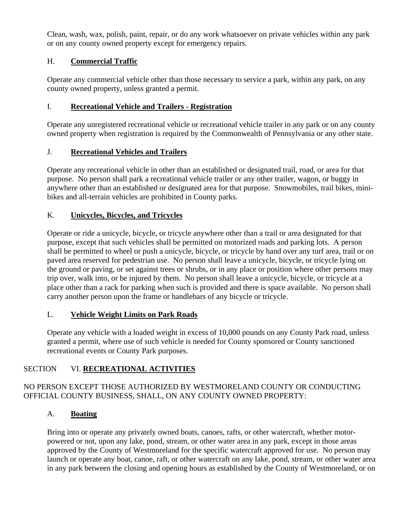Clean, wash, wax, polish, paint, repair, or do any work whatsoever on private vehicles within any park or on any county owned property except for emergency repairs.

# H. **Commercial Traffic**

Operate any commercial vehicle other than those necessary to service a park, within any park, on any county owned property, unless granted a permit.

## I. **Recreational Vehicle and Trailers - Registration**

Operate any unregistered recreational vehicle or recreational vehicle trailer in any park or on any county owned property when registration is required by the Commonwealth of Pennsylvania or any other state.

# J. **Recreational Vehicles and Trailers**

Operate any recreational vehicle in other than an established or designated trail, road, or area for that purpose. No person shall park a recreational vehicle trailer or any other trailer, wagon, or buggy in anywhere other than an established or designated area for that purpose. Snowmobiles, trail bikes, minibikes and all-terrain vehicles are prohibited in County parks.

## K. **Unicycles, Bicycles, and Tricycles**

Operate or ride a unicycle, bicycle, or tricycle anywhere other than a trail or area designated for that purpose, except that such vehicles shall be permitted on motorized roads and parking lots. A person shall be permitted to wheel or push a unicycle, bicycle, or tricycle by hand over any turf area, trail or on paved area reserved for pedestrian use. No person shall leave a unicycle, bicycle, or tricycle lying on the ground or paving, or set against trees or shrubs, or in any place or position where other persons may trip over, walk into, or be injured by them. No person shall leave a unicycle, bicycle, or tricycle at a place other than a rack for parking when such is provided and there is space available. No person shall carry another person upon the frame or handlebars of any bicycle or tricycle.

## L. **Vehicle Weight Limits on Park Roads**

Operate any vehicle with a loaded weight in excess of 10,000 pounds on any County Park road, unless granted a permit, where use of such vehicle is needed for County sponsored or County sanctioned recreational events or County Park purposes.

# SECTION VI. **RECREATIONAL ACTIVITIES**

# NO PERSON EXCEPT THOSE AUTHORIZED BY WESTMORELAND COUNTY OR CONDUCTING OFFICIAL COUNTY BUSINESS, SHALL, ON ANY COUNTY OWNED PROPERTY:

# A. **Boating**

Bring into or operate any privately owned boats, canoes, rafts, or other watercraft, whether motorpowered or not, upon any lake, pond, stream, or other water area in any park, except in those areas approved by the County of Westmoreland for the specific watercraft approved for use. No person may launch or operate any boat, canoe, raft, or other watercraft on any lake, pond, stream, or other water area in any park between the closing and opening hours as established by the County of Westmoreland, or on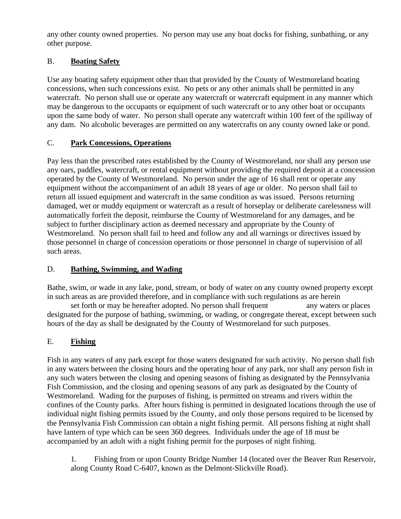any other county owned properties. No person may use any boat docks for fishing, sunbathing, or any other purpose.

# B. **Boating Safety**

Use any boating safety equipment other than that provided by the County of Westmoreland boating concessions, when such concessions exist. No pets or any other animals shall be permitted in any watercraft. No person shall use or operate any watercraft or watercraft equipment in any manner which may be dangerous to the occupants or equipment of such watercraft or to any other boat or occupants upon the same body of water. No person shall operate any watercraft within 100 feet of the spillway of any dam. No alcoholic beverages are permitted on any watercrafts on any county owned lake or pond.

# C. **Park Concessions, Operations**

Pay less than the prescribed rates established by the County of Westmoreland, nor shall any person use any oars, paddles, watercraft, or rental equipment without providing the required deposit at a concession operated by the County of Westmoreland. No person under the age of 16 shall rent or operate any equipment without the accompaniment of an adult 18 years of age or older. No person shall fail to return all issued equipment and watercraft in the same condition as was issued. Persons returning damaged, wet or muddy equipment or watercraft as a result of horseplay or deliberate carelessness will automatically forfeit the deposit, reimburse the County of Westmoreland for any damages, and be subject to further disciplinary action as deemed necessary and appropriate by the County of Westmoreland. No person shall fail to heed and follow any and all warnings or directives issued by those personnel in charge of concession operations or those personnel in charge of supervision of all such areas.

## D. **Bathing, Swimming, and Wading**

Bathe, swim, or wade in any lake, pond, stream, or body of water on any county owned property except in such areas as are provided therefore, and in compliance with such regulations as are herein

set forth or may be hereafter adopted. No person shall frequent any waters or places designated for the purpose of bathing, swimming, or wading, or congregate thereat, except between such hours of the day as shall be designated by the County of Westmoreland for such purposes.

# E. **Fishing**

Fish in any waters of any park except for those waters designated for such activity. No person shall fish in any waters between the closing hours and the operating hour of any park, nor shall any person fish in any such waters between the closing and opening seasons of fishing as designated by the Pennsylvania Fish Commission, and the closing and opening seasons of any park as designated by the County of Westmoreland. Wading for the purposes of fishing, is permitted on streams and rivers within the confines of the County parks. After hours fishing is permitted in designated locations through the use of individual night fishing permits issued by the County, and only those persons required to be licensed by the Pennsylvania Fish Commission can obtain a night fishing permit. All persons fishing at night shall have lantern of type which can be seen 360 degrees. Individuals under the age of 18 must be accompanied by an adult with a night fishing permit for the purposes of night fishing.

1. Fishing from or upon County Bridge Number 14 (located over the Beaver Run Reservoir, along County Road C-6407, known as the Delmont-Slickville Road).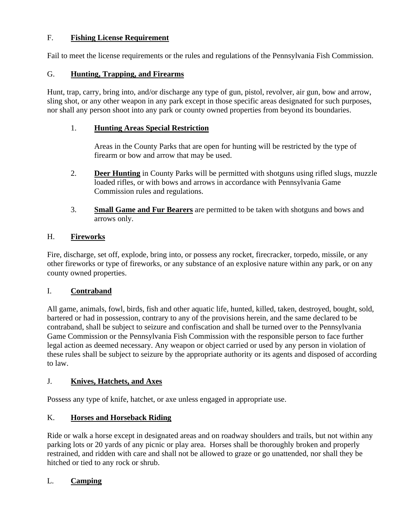# F. **Fishing License Requirement**

Fail to meet the license requirements or the rules and regulations of the Pennsylvania Fish Commission.

## G. **Hunting, Trapping, and Firearms**

Hunt, trap, carry, bring into, and/or discharge any type of gun, pistol, revolver, air gun, bow and arrow, sling shot, or any other weapon in any park except in those specific areas designated for such purposes, nor shall any person shoot into any park or county owned properties from beyond its boundaries.

#### 1. **Hunting Areas Special Restriction**

Areas in the County Parks that are open for hunting will be restricted by the type of firearm or bow and arrow that may be used.

- 2. **Deer Hunting** in County Parks will be permitted with shotguns using rifled slugs, muzzle loaded rifles, or with bows and arrows in accordance with Pennsylvania Game Commission rules and regulations.
- 3. **Small Game and Fur Bearers** are permitted to be taken with shotguns and bows and arrows only.

#### H. **Fireworks**

Fire, discharge, set off, explode, bring into, or possess any rocket, firecracker, torpedo, missile, or any other fireworks or type of fireworks, or any substance of an explosive nature within any park, or on any county owned properties.

## I. **Contraband**

All game, animals, fowl, birds, fish and other aquatic life, hunted, killed, taken, destroyed, bought, sold, bartered or had in possession, contrary to any of the provisions herein, and the same declared to be contraband, shall be subject to seizure and confiscation and shall be turned over to the Pennsylvania Game Commission or the Pennsylvania Fish Commission with the responsible person to face further legal action as deemed necessary. Any weapon or object carried or used by any person in violation of these rules shall be subject to seizure by the appropriate authority or its agents and disposed of according to law.

#### J. **Knives, Hatchets, and Axes**

Possess any type of knife, hatchet, or axe unless engaged in appropriate use.

## K. **Horses and Horseback Riding**

Ride or walk a horse except in designated areas and on roadway shoulders and trails, but not within any parking lots or 20 yards of any picnic or play area. Horses shall be thoroughly broken and properly restrained, and ridden with care and shall not be allowed to graze or go unattended, nor shall they be hitched or tied to any rock or shrub.

## L. **Camping**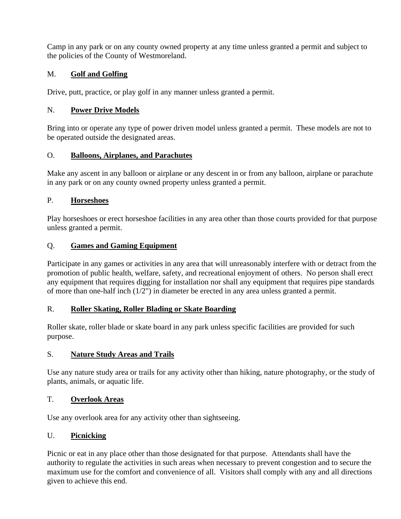Camp in any park or on any county owned property at any time unless granted a permit and subject to the policies of the County of Westmoreland.

# M. **Golf and Golfing**

Drive, putt, practice, or play golf in any manner unless granted a permit.

# N. **Power Drive Models**

Bring into or operate any type of power driven model unless granted a permit. These models are not to be operated outside the designated areas.

# O. **Balloons, Airplanes, and Parachutes**

Make any ascent in any balloon or airplane or any descent in or from any balloon, airplane or parachute in any park or on any county owned property unless granted a permit.

# P. **Horseshoes**

Play horseshoes or erect horseshoe facilities in any area other than those courts provided for that purpose unless granted a permit.

# Q. **Games and Gaming Equipment**

Participate in any games or activities in any area that will unreasonably interfere with or detract from the promotion of public health, welfare, safety, and recreational enjoyment of others. No person shall erect any equipment that requires digging for installation nor shall any equipment that requires pipe standards of more than one-half inch (1/2") in diameter be erected in any area unless granted a permit.

## R. **Roller Skating, Roller Blading or Skate Boarding**

Roller skate, roller blade or skate board in any park unless specific facilities are provided for such purpose.

## S. **Nature Study Areas and Trails**

Use any nature study area or trails for any activity other than hiking, nature photography, or the study of plants, animals, or aquatic life.

## T. **Overlook Areas**

Use any overlook area for any activity other than sightseeing.

## U. **Picnicking**

Picnic or eat in any place other than those designated for that purpose. Attendants shall have the authority to regulate the activities in such areas when necessary to prevent congestion and to secure the maximum use for the comfort and convenience of all. Visitors shall comply with any and all directions given to achieve this end.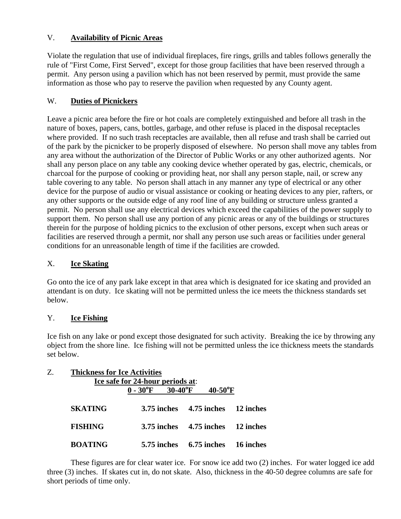# V. **Availability of Picnic Areas**

Violate the regulation that use of individual fireplaces, fire rings, grills and tables follows generally the rule of "First Come, First Served", except for those group facilities that have been reserved through a permit. Any person using a pavilion which has not been reserved by permit, must provide the same information as those who pay to reserve the pavilion when requested by any County agent.

# W. **Duties of Picnickers**

Leave a picnic area before the fire or hot coals are completely extinguished and before all trash in the nature of boxes, papers, cans, bottles, garbage, and other refuse is placed in the disposal receptacles where provided. If no such trash receptacles are available, then all refuse and trash shall be carried out of the park by the picnicker to be properly disposed of elsewhere. No person shall move any tables from any area without the authorization of the Director of Public Works or any other authorized agents. Nor shall any person place on any table any cooking device whether operated by gas, electric, chemicals, or charcoal for the purpose of cooking or providing heat, nor shall any person staple, nail, or screw any table covering to any table. No person shall attach in any manner any type of electrical or any other device for the purpose of audio or visual assistance or cooking or heating devices to any pier, rafters, or any other supports or the outside edge of any roof line of any building or structure unless granted a permit. No person shall use any electrical devices which exceed the capabilities of the power supply to support them. No person shall use any portion of any picnic areas or any of the buildings or structures therein for the purpose of holding picnics to the exclusion of other persons, except when such areas or facilities are reserved through a permit, nor shall any person use such areas or facilities under general conditions for an unreasonable length of time if the facilities are crowded.

## X. **Ice Skating**

Go onto the ice of any park lake except in that area which is designated for ice skating and provided an attendant is on duty. Ice skating will not be permitted unless the ice meets the thickness standards set below.

## Y. **Ice Fishing**

Ice fish on any lake or pond except those designated for such activity. Breaking the ice by throwing any object from the shore line. Ice fishing will not be permitted unless the ice thickness meets the standards set below.

| Z. | <b>Thickness for Ice Activities</b><br>Ice safe for 24-hour periods at: |                           |                             |  |                        |           |
|----|-------------------------------------------------------------------------|---------------------------|-----------------------------|--|------------------------|-----------|
|    |                                                                         | $0 - 30^{\circ}F$ 30-40°F |                             |  | $40-50$ <sup>o</sup> F |           |
|    | <b>SKATING</b>                                                          |                           | $3.75$ inches $4.75$ inches |  |                        | 12 inches |
|    | <b>FISHING</b>                                                          |                           | 3.75 inches                 |  | 4.75 inches            | 12 inches |
|    | <b>BOATING</b>                                                          |                           | 5.75 inches                 |  | 6.75 inches            | 16 inches |

These figures are for clear water ice. For snow ice add two (2) inches. For water logged ice add three (3) inches. If skates cut in, do not skate. Also, thickness in the 40-50 degree columns are safe for short periods of time only.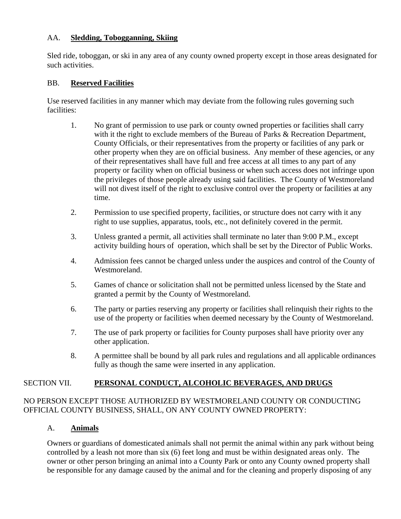#### AA. **Sledding, Tobogganning, Skiing**

Sled ride, toboggan, or ski in any area of any county owned property except in those areas designated for such activities.

#### BB. **Reserved Facilities**

Use reserved facilities in any manner which may deviate from the following rules governing such facilities:

- 1. No grant of permission to use park or county owned properties or facilities shall carry with it the right to exclude members of the Bureau of Parks & Recreation Department, County Officials, or their representatives from the property or facilities of any park or other property when they are on official business. Any member of these agencies, or any of their representatives shall have full and free access at all times to any part of any property or facility when on official business or when such access does not infringe upon the privileges of those people already using said facilities. The County of Westmoreland will not divest itself of the right to exclusive control over the property or facilities at any time.
- 2. Permission to use specified property, facilities, or structure does not carry with it any right to use supplies, apparatus, tools, etc., not definitely covered in the permit.
- 3. Unless granted a permit, all activities shall terminate no later than 9:00 P.M., except activity building hours of operation, which shall be set by the Director of Public Works.
- 4. Admission fees cannot be charged unless under the auspices and control of the County of Westmoreland.
- 5. Games of chance or solicitation shall not be permitted unless licensed by the State and granted a permit by the County of Westmoreland.
- 6. The party or parties reserving any property or facilities shall relinquish their rights to the use of the property or facilities when deemed necessary by the County of Westmoreland.
- 7. The use of park property or facilities for County purposes shall have priority over any other application.
- 8. A permittee shall be bound by all park rules and regulations and all applicable ordinances fully as though the same were inserted in any application.

## SECTION VII. **PERSONAL CONDUCT, ALCOHOLIC BEVERAGES, AND DRUGS**

## NO PERSON EXCEPT THOSE AUTHORIZED BY WESTMORELAND COUNTY OR CONDUCTING OFFICIAL COUNTY BUSINESS, SHALL, ON ANY COUNTY OWNED PROPERTY:

## A. **Animals**

Owners or guardians of domesticated animals shall not permit the animal within any park without being controlled by a leash not more than six (6) feet long and must be within designated areas only. The owner or other person bringing an animal into a County Park or onto any County owned property shall be responsible for any damage caused by the animal and for the cleaning and properly disposing of any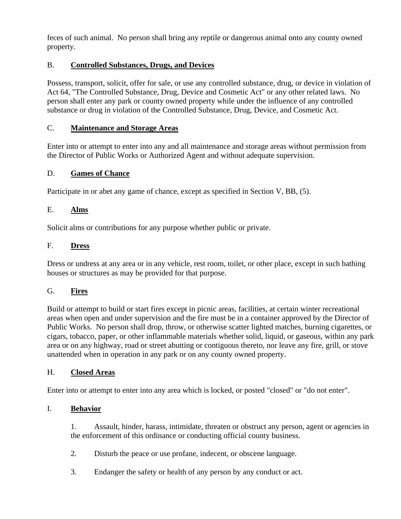feces of such animal. No person shall bring any reptile or dangerous animal onto any county owned property.

# B. **Controlled Substances, Drugs, and Devices**

Possess, transport, solicit, offer for sale, or use any controlled substance, drug, or device in violation of Act 64, "The Controlled Substance, Drug, Device and Cosmetic Act" or any other related laws. No person shall enter any park or county owned property while under the influence of any controlled substance or drug in violation of the Controlled Substance, Drug, Device, and Cosmetic Act.

## C. **Maintenance and Storage Areas**

Enter into or attempt to enter into any and all maintenance and storage areas without permission from the Director of Public Works or Authorized Agent and without adequate supervision.

#### D. **Games of Chance**

Participate in or abet any game of chance, except as specified in Section V, BB, (5).

#### E. **Alms**

Solicit alms or contributions for any purpose whether public or private.

#### F. **Dress**

Dress or undress at any area or in any vehicle, rest room, toilet, or other place, except in such bathing houses or structures as may be provided for that purpose.

## G. **Fires**

Build or attempt to build or start fires except in picnic areas, facilities, at certain winter recreational areas when open and under supervision and the fire must be in a container approved by the Director of Public Works. No person shall drop, throw, or otherwise scatter lighted matches, burning cigarettes, or cigars, tobacco, paper, or other inflammable materials whether solid, liquid, or gaseous, within any park area or on any highway, road or street abutting or contiguous thereto, nor leave any fire, grill, or stove unattended when in operation in any park or on any county owned property.

#### H. **Closed Areas**

Enter into or attempt to enter into any area which is locked, or posted "closed" or "do not enter".

## I. **Behavior**

1. Assault, hinder, harass, intimidate, threaten or obstruct any person, agent or agencies in the enforcement of this ordinance or conducting official county business.

- 2. Disturb the peace or use profane, indecent, or obscene language.
- 3. Endanger the safety or health of any person by any conduct or act.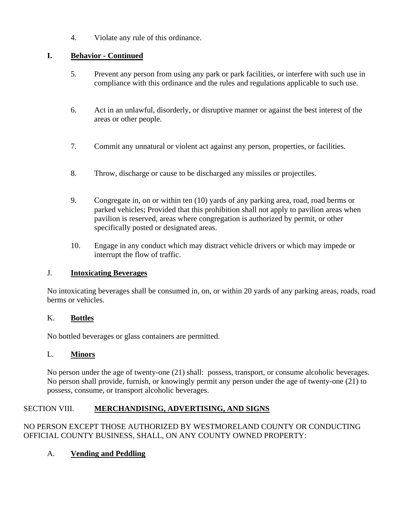4. Violate any rule of this ordinance.

# **I. Behavior - Continued**

- 5. Prevent any person from using any park or park facilities, or interfere with such use in compliance with this ordinance and the rules and regulations applicable to such use.
- 6. Act in an unlawful, disorderly, or disruptive manner or against the best interest of the areas or other people.
- 7. Commit any unnatural or violent act against any person, properties, or facilities.
- 8. Throw, discharge or cause to be discharged any missiles or projectiles.
- 9. Congregate in, on or within ten (10) yards of any parking area, road, road berms or parked vehicles; Provided that this prohibition shall not apply to pavilion areas when pavilion is reserved, areas where congregation is authorized by permit, or other specifically posted or designated areas.
- 10. Engage in any conduct which may distract vehicle drivers or which may impede or interrupt the flow of traffic.

## J. **Intoxicating Beverages**

No intoxicating beverages shall be consumed in, on, or within 20 yards of any parking areas, roads, road berms or vehicles.

## K. **Bottles**

No bottled beverages or glass containers are permitted.

## L. **Minors**

No person under the age of twenty-one (21) shall: possess, transport, or consume alcoholic beverages. No person shall provide, furnish, or knowingly permit any person under the age of twenty-one (21) to possess, consume, or transport alcoholic beverages.

# SECTION VIII. **MERCHANDISING, ADVERTISING, AND SIGNS**

# NO PERSON EXCEPT THOSE AUTHORIZED BY WESTMORELAND COUNTY OR CONDUCTING OFFICIAL COUNTY BUSINESS, SHALL, ON ANY COUNTY OWNED PROPERTY:

# A. **Vending and Peddling**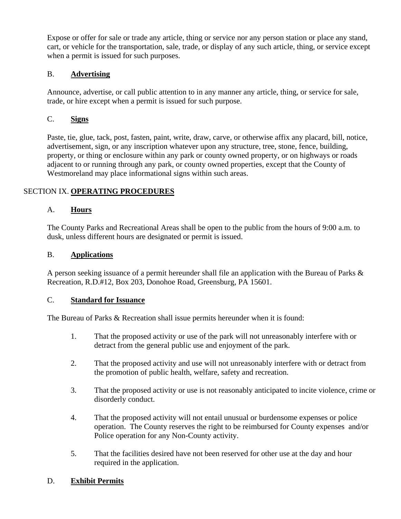Expose or offer for sale or trade any article, thing or service nor any person station or place any stand, cart, or vehicle for the transportation, sale, trade, or display of any such article, thing, or service except when a permit is issued for such purposes.

# B. **Advertising**

Announce, advertise, or call public attention to in any manner any article, thing, or service for sale, trade, or hire except when a permit is issued for such purpose.

# C. **Signs**

Paste, tie, glue, tack, post, fasten, paint, write, draw, carve, or otherwise affix any placard, bill, notice, advertisement, sign, or any inscription whatever upon any structure, tree, stone, fence, building, property, or thing or enclosure within any park or county owned property, or on highways or roads adjacent to or running through any park, or county owned properties, except that the County of Westmoreland may place informational signs within such areas.

# SECTION IX. **OPERATING PROCEDURES**

## A. **Hours**

The County Parks and Recreational Areas shall be open to the public from the hours of 9:00 a.m. to dusk, unless different hours are designated or permit is issued.

## B. **Applications**

A person seeking issuance of a permit hereunder shall file an application with the Bureau of Parks & Recreation, R.D.#12, Box 203, Donohoe Road, Greensburg, PA 15601.

## C. **Standard for Issuance**

The Bureau of Parks & Recreation shall issue permits hereunder when it is found:

- 1. That the proposed activity or use of the park will not unreasonably interfere with or detract from the general public use and enjoyment of the park.
- 2. That the proposed activity and use will not unreasonably interfere with or detract from the promotion of public health, welfare, safety and recreation.
- 3. That the proposed activity or use is not reasonably anticipated to incite violence, crime or disorderly conduct.
- 4. That the proposed activity will not entail unusual or burdensome expenses or police operation. The County reserves the right to be reimbursed for County expenses and/or Police operation for any Non-County activity.
- 5. That the facilities desired have not been reserved for other use at the day and hour required in the application.

## D. **Exhibit Permits**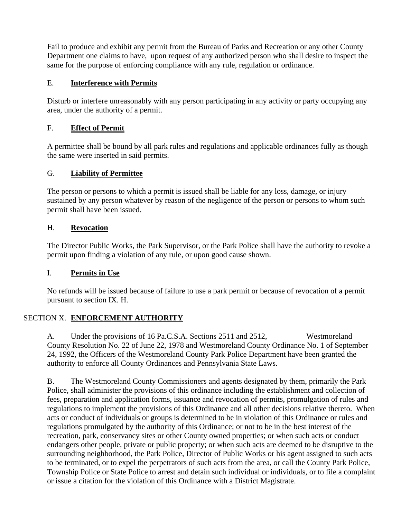Fail to produce and exhibit any permit from the Bureau of Parks and Recreation or any other County Department one claims to have, upon request of any authorized person who shall desire to inspect the same for the purpose of enforcing compliance with any rule, regulation or ordinance.

## E. **Interference with Permits**

Disturb or interfere unreasonably with any person participating in any activity or party occupying any area, under the authority of a permit.

## F. **Effect of Permit**

A permittee shall be bound by all park rules and regulations and applicable ordinances fully as though the same were inserted in said permits.

## G. **Liability of Permittee**

The person or persons to which a permit is issued shall be liable for any loss, damage, or injury sustained by any person whatever by reason of the negligence of the person or persons to whom such permit shall have been issued.

# H. **Revocation**

The Director Public Works, the Park Supervisor, or the Park Police shall have the authority to revoke a permit upon finding a violation of any rule, or upon good cause shown.

# I. **Permits in Use**

No refunds will be issued because of failure to use a park permit or because of revocation of a permit pursuant to section IX. H.

# SECTION X. **ENFORCEMENT AUTHORITY**

A. Under the provisions of 16 Pa.C.S.A. Sections 2511 and 2512, Westmoreland County Resolution No. 22 of June 22, 1978 and Westmoreland County Ordinance No. 1 of September 24, 1992, the Officers of the Westmoreland County Park Police Department have been granted the authority to enforce all County Ordinances and Pennsylvania State Laws.

B. The Westmoreland County Commissioners and agents designated by them, primarily the Park Police, shall administer the provisions of this ordinance including the establishment and collection of fees, preparation and application forms, issuance and revocation of permits, promulgation of rules and regulations to implement the provisions of this Ordinance and all other decisions relative thereto. When acts or conduct of individuals or groups is determined to be in violation of this Ordinance or rules and regulations promulgated by the authority of this Ordinance; or not to be in the best interest of the recreation, park, conservancy sites or other County owned properties; or when such acts or conduct endangers other people, private or public property; or when such acts are deemed to be disruptive to the surrounding neighborhood, the Park Police, Director of Public Works or his agent assigned to such acts to be terminated, or to expel the perpetrators of such acts from the area, or call the County Park Police, Township Police or State Police to arrest and detain such individual or individuals, or to file a complaint or issue a citation for the violation of this Ordinance with a District Magistrate.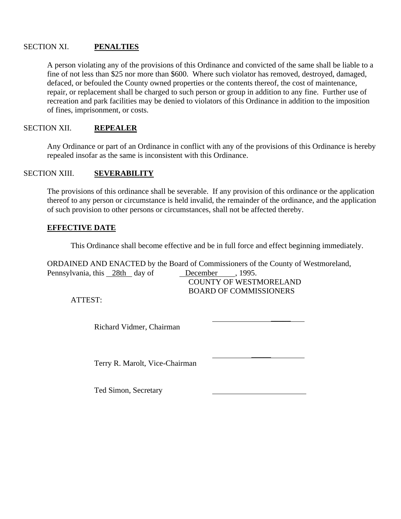#### SECTION XI. **PENALTIES**

A person violating any of the provisions of this Ordinance and convicted of the same shall be liable to a fine of not less than \$25 nor more than \$600. Where such violator has removed, destroyed, damaged, defaced, or befouled the County owned properties or the contents thereof, the cost of maintenance, repair, or replacement shall be charged to such person or group in addition to any fine. Further use of recreation and park facilities may be denied to violators of this Ordinance in addition to the imposition of fines, imprisonment, or costs.

#### SECTION XII. **REPEALER**

Any Ordinance or part of an Ordinance in conflict with any of the provisions of this Ordinance is hereby repealed insofar as the same is inconsistent with this Ordinance.

#### SECTION XIII. **SEVERABILITY**

The provisions of this ordinance shall be severable. If any provision of this ordinance or the application thereof to any person or circumstance is held invalid, the remainder of the ordinance, and the application of such provision to other persons or circumstances, shall not be affected thereby.

#### **EFFECTIVE DATE**

This Ordinance shall become effective and be in full force and effect beginning immediately.

BOARD OF COMMISSIONERS

 $\mathcal{L}$ 

 $\mathcal{L}$ 

ORDAINED AND ENACTED by the Board of Commissioners of the County of Westmoreland, Pennsylvania, this 28th day of December , 1995. COUNTY OF WESTMORELAND

ATTEST:

Richard Vidmer, Chairman

Terry R. Marolt, Vice-Chairman

Ted Simon, Secretary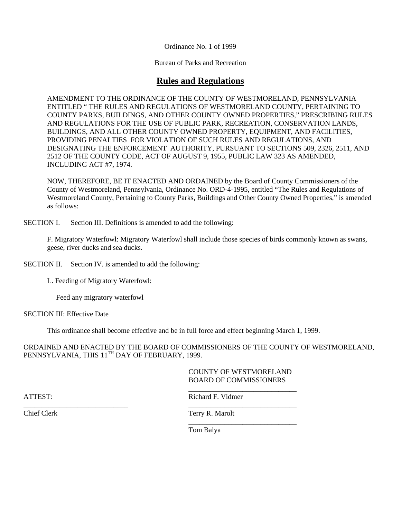Ordinance No. 1 of 1999

Bureau of Parks and Recreation

# **Rules and Regulations**

AMENDMENT TO THE ORDINANCE OF THE COUNTY OF WESTMORELAND, PENNSYLVANIA ENTITLED " THE RULES AND REGULATIONS OF WESTMORELAND COUNTY, PERTAINING TO COUNTY PARKS, BUILDINGS, AND OTHER COUNTY OWNED PROPERTIES," PRESCRIBING RULES AND REGULATIONS FOR THE USE OF PUBLIC PARK, RECREATION, CONSERVATION LANDS, BUILDINGS, AND ALL OTHER COUNTY OWNED PROPERTY, EQUIPMENT, AND FACILITIES, PROVIDING PENALTIES FOR VIOLATION OF SUCH RULES AND REGULATIONS, AND DESIGNATING THE ENFORCEMENT AUTHORITY, PURSUANT TO SECTIONS 509, 2326, 2511, AND 2512 OF THE COUNTY CODE, ACT OF AUGUST 9, 1955, PUBLIC LAW 323 AS AMENDED, INCLUDING ACT #7, 1974.

NOW, THEREFORE, BE IT ENACTED AND ORDAINED by the Board of County Commissioners of the County of Westmoreland, Pennsylvania, Ordinance No. ORD-4-1995, entitled "The Rules and Regulations of Westmoreland County, Pertaining to County Parks, Buildings and Other County Owned Properties," is amended as follows:

SECTION I. Section III. Definitions is amended to add the following:

F. Migratory Waterfowl: Migratory Waterfowl shall include those species of birds commonly known as swans, geese, river ducks and sea ducks.

SECTION II. Section IV. is amended to add the following:

L. Feeding of Migratory Waterfowl:

Feed any migratory waterfowl

SECTION III: Effective Date

This ordinance shall become effective and be in full force and effect beginning March 1, 1999.

\_\_\_\_\_\_\_\_\_\_\_\_\_\_\_\_\_\_\_\_\_\_\_\_\_\_\_\_\_ \_\_\_\_\_\_\_\_\_\_\_\_\_\_\_\_\_\_\_\_\_\_\_\_\_\_\_\_\_\_

ORDAINED AND ENACTED BY THE BOARD OF COMMISSIONERS OF THE COUNTY OF WESTMORELAND, PENNSYLVANIA, THIS 11<sup>TH</sup> DAY OF FEBRUARY, 1999.

#### COUNTY OF WESTMORELAND BOARD OF COMMISSIONERS \_\_\_\_\_\_\_\_\_\_\_\_\_\_\_\_\_\_\_\_\_\_\_\_\_\_\_\_\_\_

ATTEST: Richard F. Vidmer

Chief Clerk Terry R. Marolt \_\_\_\_\_\_\_\_\_\_\_\_\_\_\_\_\_\_\_\_\_\_\_\_\_\_\_\_\_\_

Tom Balya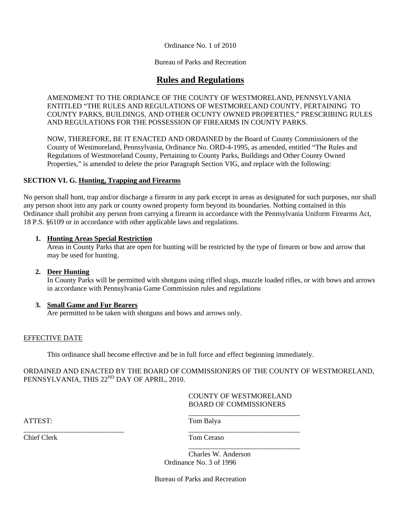Ordinance No. 1 of 2010

Bureau of Parks and Recreation

# **Rules and Regulations**

AMENDMENT TO THE ORDIANCE OF THE COUNTY OF WESTMORELAND, PENNSYLVANIA ENTITLED "THE RULES AND REGULATIONS OF WESTMORELAND COUNTY, PERTAINING TO COUNTY PARKS, BUILDINGS, AND OTHER OCUNTY OWNED PROPERTIES," PRESCRIBING RULES AND REGULATIONS FOR THE POSSESSION OF FIREARMS IN COUNTY PARKS.

NOW, THEREFORE, BE IT ENACTED AND ORDAINED by the Board of County Commissioners of the County of Westmoreland, Pennsylvania, Ordinance No. ORD-4-1995, as amended, entitled "The Rules and Regulations of Westmoreland County, Pertaining to County Parks, Buildings and Other County Owned Properties," is amended to delete the prior Paragraph Section VIG, and replace with the following:

#### **SECTION VI. G. Hunting, Trapping and Firearms**

No person shall hunt, trap and/or discharge a firearm in any park except in areas as designated for such purposes, nor shall any person shoot into any park or county owned property form beyond its boundaries. Nothing contained in this Ordinance shall prohibit any person from carrying a firearm in accordance with the Pennsylvania Uniform Firearms Act, 18 P.S. §6109 or in accordance with other applicable laws and regulations.

#### **1. Hunting Areas Special Restriction**

Areas in County Parks that are open for hunting will be restricted by the type of firearm or bow and arrow that may be used for hunting.

#### **2. Deer Hunting**

In County Parks will be permitted with shotguns using rifled slugs, muzzle loaded rifles, or with bows and arrows in accordance with Pennsylvania Game Commission rules and regulations

#### **3. Small Game and Fur Bearers**

Are permitted to be taken with shotguns and bows and arrows only.

#### EFFECTIVE DATE

This ordinance shall become effective and be in full force and effect beginning immediately.

\_\_\_\_\_\_\_\_\_\_\_\_\_\_\_\_\_\_\_\_\_\_\_\_\_\_\_\_ \_\_\_\_\_\_\_\_\_\_\_\_\_\_\_\_\_\_\_\_\_\_\_\_\_\_\_\_\_\_\_

ORDAINED AND ENACTED BY THE BOARD OF COMMISSIONERS OF THE COUNTY OF WESTMORELAND, PENNSYLVANIA, THIS 22<sup>ND</sup> DAY OF APRIL, 2010.

#### COUNTY OF WESTMORELAND BOARD OF COMMISSIONERS

\_\_\_\_\_\_\_\_\_\_\_\_\_\_\_\_\_\_\_\_\_\_\_\_\_\_\_\_\_\_\_

\_\_\_\_\_\_\_\_\_\_\_\_\_\_\_\_\_\_\_\_\_\_\_\_\_\_\_\_\_\_\_

ATTEST: Tom Balya

Chief Clerk Tom Ceraso

Charles W. Anderson Ordinance No. 3 of 1996

Bureau of Parks and Recreation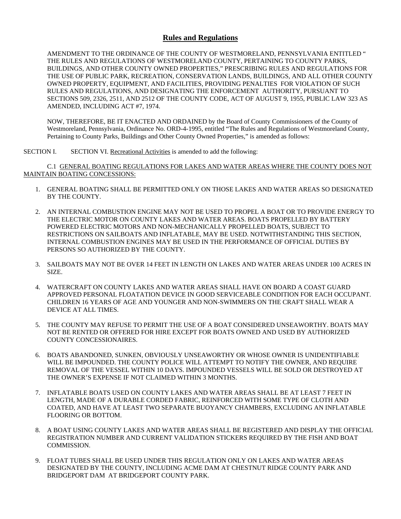#### **Rules and Regulations**

AMENDMENT TO THE ORDINANCE OF THE COUNTY OF WESTMORELAND, PENNSYLVANIA ENTITLED " THE RULES AND REGULATIONS OF WESTMORELAND COUNTY, PERTAINING TO COUNTY PARKS, BUILDINGS, AND OTHER COUNTY OWNED PROPERTIES," PRESCRIBING RULES AND REGULATIONS FOR THE USE OF PUBLIC PARK, RECREATION, CONSERVATION LANDS, BUILDINGS, AND ALL OTHER COUNTY OWNED PROPERTY, EQUIPMENT, AND FACILITIES, PROVIDING PENALTIES FOR VIOLATION OF SUCH RULES AND REGULATIONS, AND DESIGNATING THE ENFORCEMENT AUTHORITY, PURSUANT TO SECTIONS 509, 2326, 2511, AND 2512 OF THE COUNTY CODE, ACT OF AUGUST 9, 1955, PUBLIC LAW 323 AS AMENDED, INCLUDING ACT #7, 1974.

NOW, THEREFORE, BE IT ENACTED AND ORDAINED by the Board of County Commissioners of the County of Westmoreland, Pennsylvania, Ordinance No. ORD-4-1995, entitled "The Rules and Regulations of Westmoreland County, Pertaining to County Parks, Buildings and Other County Owned Properties," is amended as follows:

SECTION I. SECTION VI. Recreational Activities is amended to add the following:

C.1 GENERAL BOATING REGULATIONS FOR LAKES AND WATER AREAS WHERE THE COUNTY DOES NOT MAINTAIN BOATING CONCESSIONS:

- 1. GENERAL BOATING SHALL BE PERMITTED ONLY ON THOSE LAKES AND WATER AREAS SO DESIGNATED BY THE COUNTY.
- 2. AN INTERNAL COMBUSTION ENGINE MAY NOT BE USED TO PROPEL A BOAT OR TO PROVIDE ENERGY TO THE ELECTRIC MOTOR ON COUNTY LAKES AND WATER AREAS. BOATS PROPELLED BY BATTERY POWERED ELECTRIC MOTORS AND NON-MECHANICALLY PROPELLED BOATS, SUBJECT TO RESTRICTIONS ON SAILBOATS AND INFLATABLE, MAY BE USED. NOTWITHSTANDING THIS SECTION, INTERNAL COMBUSTION ENGINES MAY BE USED IN THE PERFORMANCE OF OFFICIAL DUTIES BY PERSONS SO AUTHORIZED BY THE COUNTY.
- 3. SAILBOATS MAY NOT BE OVER 14 FEET IN LENGTH ON LAKES AND WATER AREAS UNDER 100 ACRES IN SIZE.
- 4. WATERCRAFT ON COUNTY LAKES AND WATER AREAS SHALL HAVE ON BOARD A COAST GUARD APPROVED PERSONAL FLOATATION DEVICE IN GOOD SERVICEABLE CONDITION FOR EACH OCCUPANT. CHILDREN 16 YEARS OF AGE AND YOUNGER AND NON-SWIMMERS ON THE CRAFT SHALL WEAR A DEVICE AT ALL TIMES.
- 5. THE COUNTY MAY REFUSE TO PERMIT THE USE OF A BOAT CONSIDERED UNSEAWORTHY. BOATS MAY NOT BE RENTED OR OFFERED FOR HIRE EXCEPT FOR BOATS OWNED AND USED BY AUTHORIZED COUNTY CONCESSIONAIRES.
- 6. BOATS ABANDONED, SUNKEN, OBVIOUSLY UNSEAWORTHY OR WHOSE OWNER IS UNIDENTIFIABLE WILL BE IMPOUNDED. THE COUNTY POLICE WILL ATTEMPT TO NOTIFY THE OWNER, AND REQUIRE REMOVAL OF THE VESSEL WITHIN 10 DAYS. IMPOUNDED VESSELS WILL BE SOLD OR DESTROYED AT THE OWNER'S EXPENSE IF NOT CLAIMED WITHIN 3 MONTHS.
- 7. INFLATABLE BOATS USED ON COUNTY LAKES AND WATER AREAS SHALL BE AT LEAST 7 FEET IN LENGTH, MADE OF A DURABLE CORDED FABRIC, REINFORCED WITH SOME TYPE OF CLOTH AND COATED, AND HAVE AT LEAST TWO SEPARATE BUOYANCY CHAMBERS, EXCLUDING AN INFLATABLE FLOORING OR BOTTOM.
- 8. A BOAT USING COUNTY LAKES AND WATER AREAS SHALL BE REGISTERED AND DISPLAY THE OFFICIAL REGISTRATION NUMBER AND CURRENT VALIDATION STICKERS REQUIRED BY THE FISH AND BOAT COMMISSION.
- 9. FLOAT TUBES SHALL BE USED UNDER THIS REGULATION ONLY ON LAKES AND WATER AREAS DESIGNATED BY THE COUNTY, INCLUDING ACME DAM AT CHESTNUT RIDGE COUNTY PARK AND BRIDGEPORT DAM AT BRIDGEPORT COUNTY PARK.